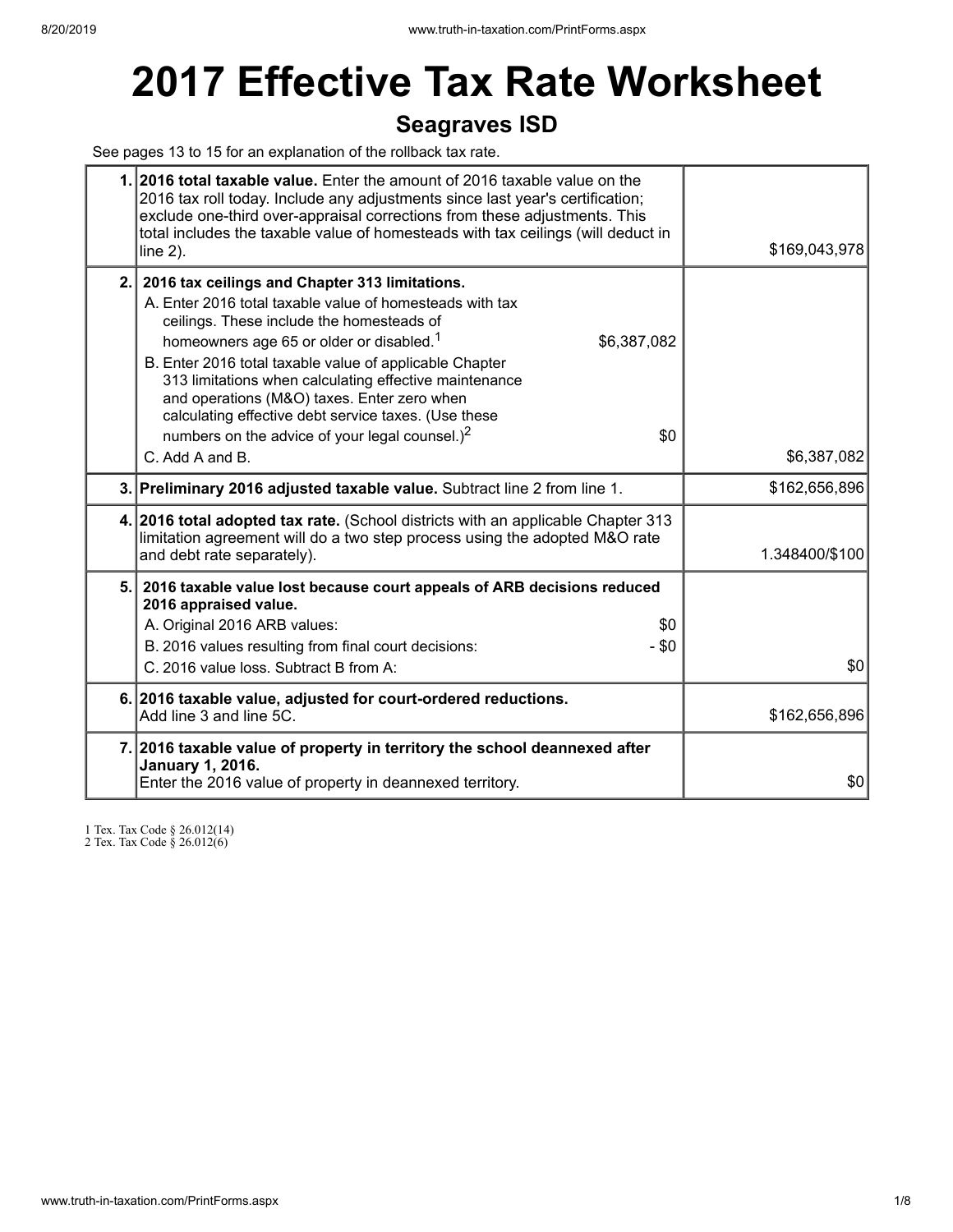# **2017 Effective Tax Rate Worksheet**

## **Seagraves ISD**

See pages 13 to 15 for an explanation of the rollback tax rate.

| 1. 2016 total taxable value. Enter the amount of 2016 taxable value on the<br>2016 tax roll today. Include any adjustments since last year's certification;<br>exclude one-third over-appraisal corrections from these adjustments. This<br>total includes the taxable value of homesteads with tax ceilings (will deduct in<br>line $2$ ).                                                                                                                                                                               | \$169,043,978  |
|---------------------------------------------------------------------------------------------------------------------------------------------------------------------------------------------------------------------------------------------------------------------------------------------------------------------------------------------------------------------------------------------------------------------------------------------------------------------------------------------------------------------------|----------------|
| 2. 2016 tax ceilings and Chapter 313 limitations.<br>A. Enter 2016 total taxable value of homesteads with tax<br>ceilings. These include the homesteads of<br>homeowners age 65 or older or disabled. <sup>1</sup><br>\$6,387,082<br>B. Enter 2016 total taxable value of applicable Chapter<br>313 limitations when calculating effective maintenance<br>and operations (M&O) taxes. Enter zero when<br>calculating effective debt service taxes. (Use these<br>numbers on the advice of your legal counsel.) $2$<br>\$0 |                |
| C. Add A and B.                                                                                                                                                                                                                                                                                                                                                                                                                                                                                                           | \$6,387,082    |
| 3. Preliminary 2016 adjusted taxable value. Subtract line 2 from line 1.                                                                                                                                                                                                                                                                                                                                                                                                                                                  | \$162,656,896  |
| 4. 2016 total adopted tax rate. (School districts with an applicable Chapter 313<br>limitation agreement will do a two step process using the adopted M&O rate<br>and debt rate separately).                                                                                                                                                                                                                                                                                                                              | 1.348400/\$100 |
| 5. 2016 taxable value lost because court appeals of ARB decisions reduced<br>2016 appraised value.<br>A. Original 2016 ARB values:<br>\$0<br>$-$ \$0<br>B. 2016 values resulting from final court decisions:<br>C. 2016 value loss. Subtract B from A:                                                                                                                                                                                                                                                                    | \$0            |
| 6. 2016 taxable value, adjusted for court-ordered reductions.<br>Add line 3 and line 5C.                                                                                                                                                                                                                                                                                                                                                                                                                                  | \$162,656,896  |
| 7. 2016 taxable value of property in territory the school deannexed after<br><b>January 1, 2016.</b><br>Enter the 2016 value of property in deannexed territory.                                                                                                                                                                                                                                                                                                                                                          | \$0            |

1 Tex. Tax Code § 26.012(14)

2 Tex. Tax Code § 26.012(6)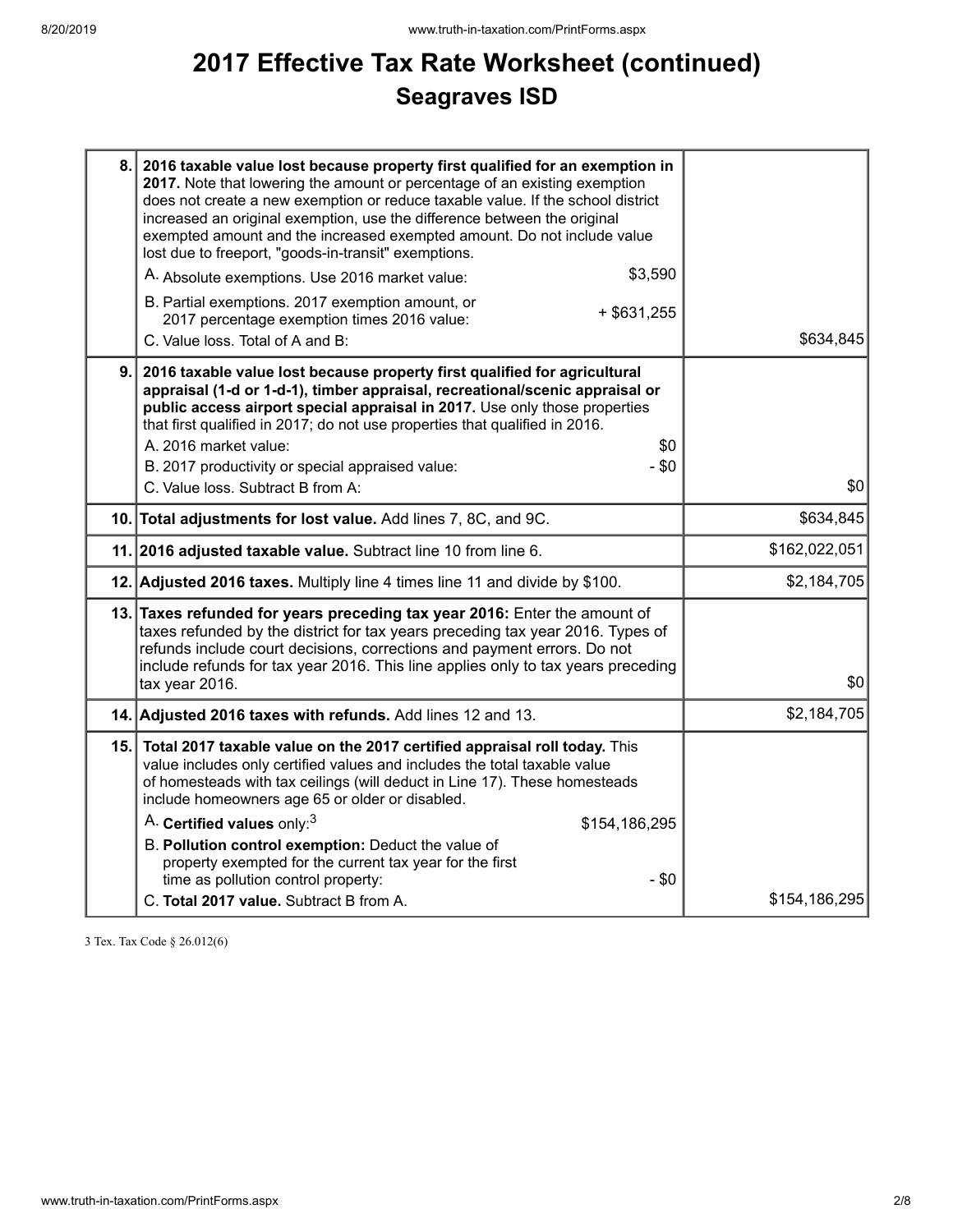# **2017 Effective Tax Rate Worksheet (continued) Seagraves ISD**

|    | 8. 2016 taxable value lost because property first qualified for an exemption in<br>2017. Note that lowering the amount or percentage of an existing exemption<br>does not create a new exemption or reduce taxable value. If the school district<br>increased an original exemption, use the difference between the original<br>exempted amount and the increased exempted amount. Do not include value<br>lost due to freeport, "goods-in-transit" exemptions.<br>\$3,590<br>A. Absolute exemptions. Use 2016 market value: |               |
|----|------------------------------------------------------------------------------------------------------------------------------------------------------------------------------------------------------------------------------------------------------------------------------------------------------------------------------------------------------------------------------------------------------------------------------------------------------------------------------------------------------------------------------|---------------|
|    | B. Partial exemptions. 2017 exemption amount, or<br>$+$ \$631,255<br>2017 percentage exemption times 2016 value:<br>C. Value loss. Total of A and B:                                                                                                                                                                                                                                                                                                                                                                         | \$634,845     |
| 9. | 2016 taxable value lost because property first qualified for agricultural<br>appraisal (1-d or 1-d-1), timber appraisal, recreational/scenic appraisal or<br>public access airport special appraisal in 2017. Use only those properties<br>that first qualified in 2017; do not use properties that qualified in 2016.<br>A. 2016 market value:<br>\$0<br>- \$0<br>B. 2017 productivity or special appraised value:<br>C. Value loss. Subtract B from A:                                                                     | \$0           |
|    | 10. Total adjustments for lost value. Add lines 7, 8C, and 9C.                                                                                                                                                                                                                                                                                                                                                                                                                                                               | \$634,845     |
|    | 11. 2016 adjusted taxable value. Subtract line 10 from line 6.                                                                                                                                                                                                                                                                                                                                                                                                                                                               | \$162,022,051 |
|    | 12. Adjusted 2016 taxes. Multiply line 4 times line 11 and divide by \$100.                                                                                                                                                                                                                                                                                                                                                                                                                                                  | \$2,184,705   |
|    | 13. Taxes refunded for years preceding tax year 2016: Enter the amount of<br>taxes refunded by the district for tax years preceding tax year 2016. Types of<br>refunds include court decisions, corrections and payment errors. Do not<br>include refunds for tax year 2016. This line applies only to tax years preceding<br>tax year 2016.                                                                                                                                                                                 | \$0           |
|    | 14. Adjusted 2016 taxes with refunds. Add lines 12 and 13.                                                                                                                                                                                                                                                                                                                                                                                                                                                                   | \$2,184,705   |
|    | 15. Total 2017 taxable value on the 2017 certified appraisal roll today. This<br>value includes only certified values and includes the total taxable value<br>of homesteads with tax ceilings (will deduct in Line 17). These homesteads<br>include homeowners age 65 or older or disabled.<br>A. Certified values only: <sup>3</sup><br>\$154,186,295                                                                                                                                                                       |               |
|    | B. Pollution control exemption: Deduct the value of<br>property exempted for the current tax year for the first<br>time as pollution control property:<br>$-$ \$0<br>C. Total 2017 value. Subtract B from A.                                                                                                                                                                                                                                                                                                                 | \$154,186,295 |

3 Tex. Tax Code § 26.012(6)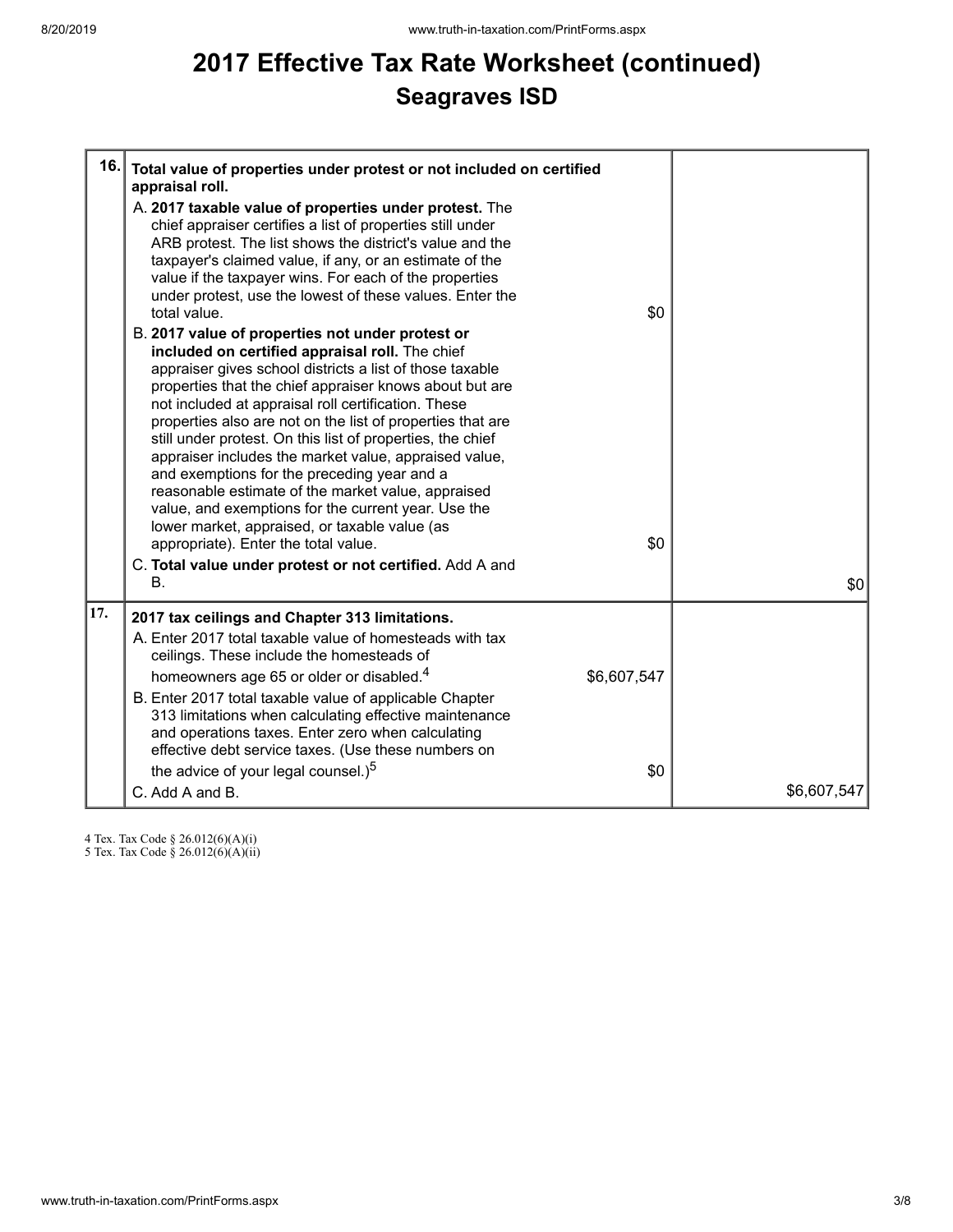# **2017 Effective Tax Rate Worksheet (continued) Seagraves ISD**

| 16. | Total value of properties under protest or not included on certified<br>appraisal roll.<br>A. 2017 taxable value of properties under protest. The<br>chief appraiser certifies a list of properties still under<br>ARB protest. The list shows the district's value and the<br>taxpayer's claimed value, if any, or an estimate of the<br>value if the taxpayer wins. For each of the properties<br>under protest, use the lowest of these values. Enter the<br>total value.<br>B. 2017 value of properties not under protest or<br>included on certified appraisal roll. The chief<br>appraiser gives school districts a list of those taxable<br>properties that the chief appraiser knows about but are<br>not included at appraisal roll certification. These<br>properties also are not on the list of properties that are<br>still under protest. On this list of properties, the chief<br>appraiser includes the market value, appraised value,<br>and exemptions for the preceding year and a<br>reasonable estimate of the market value, appraised<br>value, and exemptions for the current year. Use the<br>lower market, appraised, or taxable value (as<br>appropriate). Enter the total value. | \$0<br>\$0         |             |
|-----|-------------------------------------------------------------------------------------------------------------------------------------------------------------------------------------------------------------------------------------------------------------------------------------------------------------------------------------------------------------------------------------------------------------------------------------------------------------------------------------------------------------------------------------------------------------------------------------------------------------------------------------------------------------------------------------------------------------------------------------------------------------------------------------------------------------------------------------------------------------------------------------------------------------------------------------------------------------------------------------------------------------------------------------------------------------------------------------------------------------------------------------------------------------------------------------------------------------|--------------------|-------------|
|     | C. Total value under protest or not certified. Add A and<br>$\mathbf{B}$ .                                                                                                                                                                                                                                                                                                                                                                                                                                                                                                                                                                                                                                                                                                                                                                                                                                                                                                                                                                                                                                                                                                                                  |                    | \$0         |
| 17. | 2017 tax ceilings and Chapter 313 limitations.<br>A. Enter 2017 total taxable value of homesteads with tax<br>ceilings. These include the homesteads of<br>homeowners age 65 or older or disabled. <sup>4</sup><br>B. Enter 2017 total taxable value of applicable Chapter<br>313 limitations when calculating effective maintenance<br>and operations taxes. Enter zero when calculating<br>effective debt service taxes. (Use these numbers on<br>the advice of your legal counsel.) <sup>5</sup><br>C. Add A and B.                                                                                                                                                                                                                                                                                                                                                                                                                                                                                                                                                                                                                                                                                      | \$6,607,547<br>\$0 | \$6,607,547 |

4 Tex. Tax Code § 26.012(6)(A)(i)

5 Tex. Tax Code § 26.012(6)(A)(ii)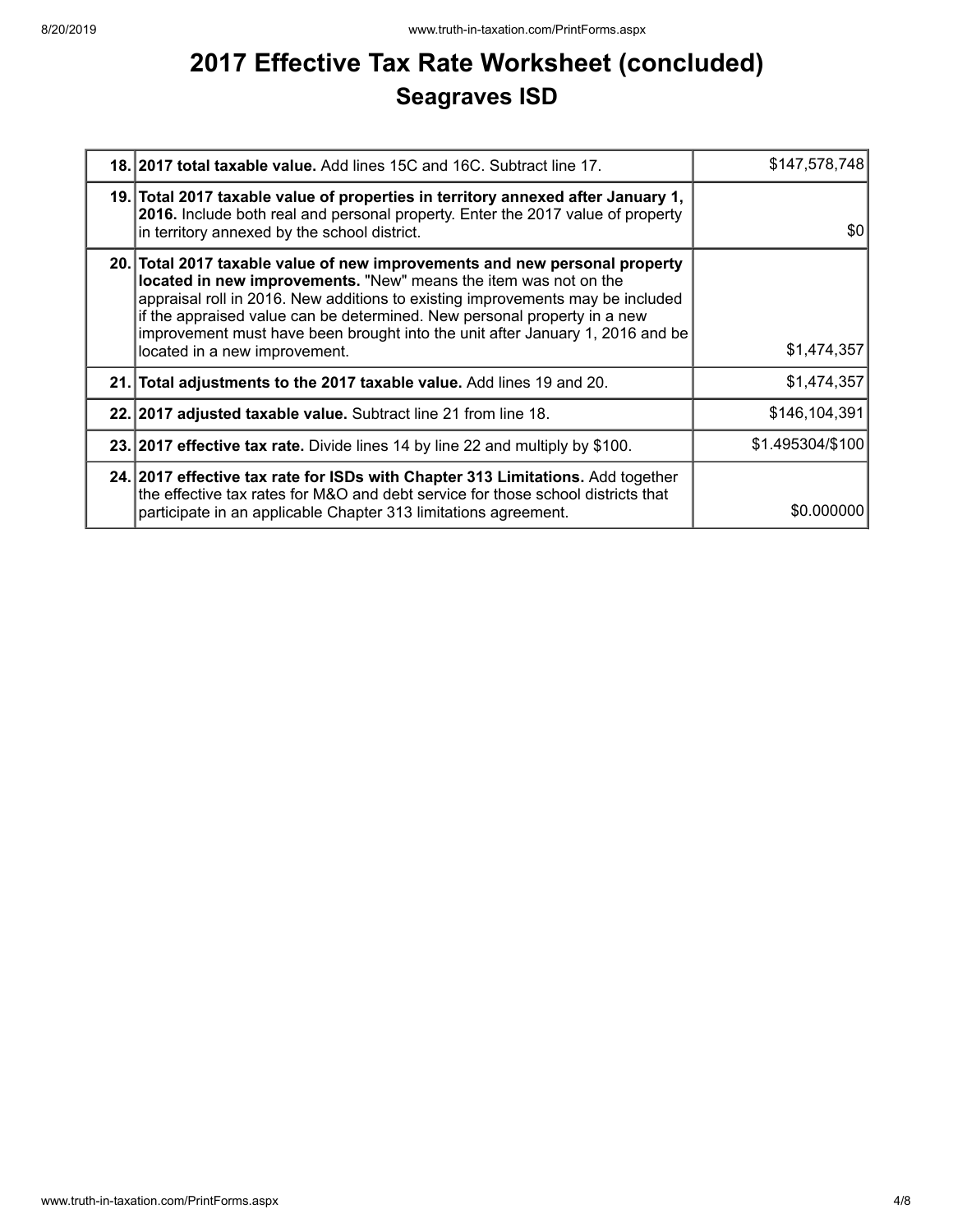# **2017 Effective Tax Rate Worksheet (concluded) Seagraves ISD**

| 18. 2017 total taxable value. Add lines 15C and 16C. Subtract line 17.                                                                                                                                                                                                                                                                                                                                                         | \$147,578,748    |
|--------------------------------------------------------------------------------------------------------------------------------------------------------------------------------------------------------------------------------------------------------------------------------------------------------------------------------------------------------------------------------------------------------------------------------|------------------|
| 19. Total 2017 taxable value of properties in territory annexed after January 1,<br>2016. Include both real and personal property. Enter the 2017 value of property<br>in territory annexed by the school district.                                                                                                                                                                                                            | \$0              |
| 20. Total 2017 taxable value of new improvements and new personal property<br>located in new improvements. "New" means the item was not on the<br>appraisal roll in 2016. New additions to existing improvements may be included<br>if the appraised value can be determined. New personal property in a new<br>improvement must have been brought into the unit after January 1, 2016 and be<br>located in a new improvement. | \$1,474,357      |
| 21. Total adjustments to the 2017 taxable value. Add lines 19 and 20.                                                                                                                                                                                                                                                                                                                                                          | \$1,474,357      |
| 22. 2017 adjusted taxable value. Subtract line 21 from line 18.                                                                                                                                                                                                                                                                                                                                                                | \$146,104,391    |
| 23. 2017 effective tax rate. Divide lines 14 by line 22 and multiply by \$100.                                                                                                                                                                                                                                                                                                                                                 | \$1.495304/\$100 |
| 24. 2017 effective tax rate for ISDs with Chapter 313 Limitations. Add together<br>the effective tax rates for M&O and debt service for those school districts that<br>participate in an applicable Chapter 313 limitations agreement.                                                                                                                                                                                         | \$0.000000       |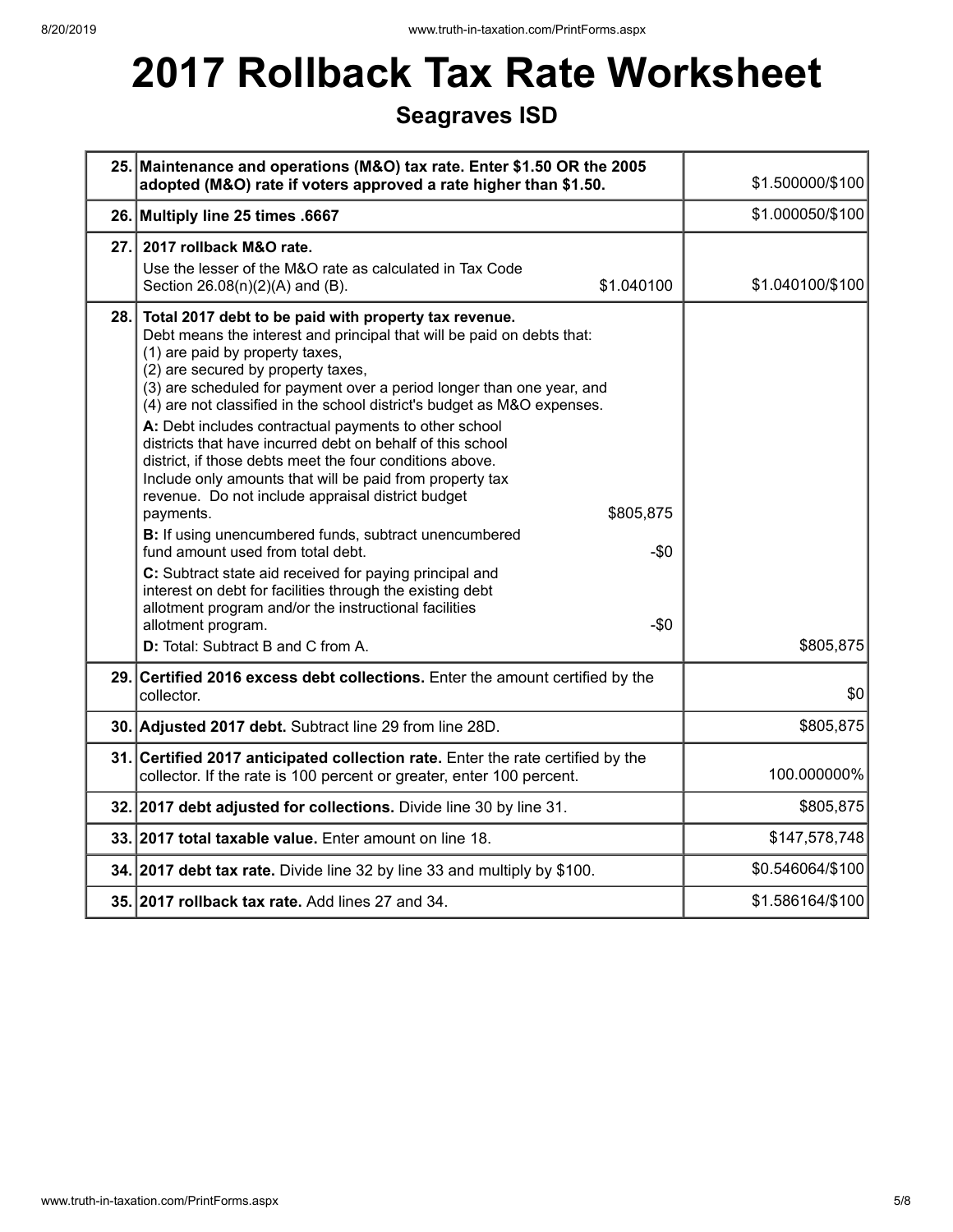# **2017 Rollback Tax Rate Worksheet**

## **Seagraves ISD**

|      | 25. Maintenance and operations (M&O) tax rate. Enter \$1.50 OR the 2005<br>adopted (M&O) rate if voters approved a rate higher than \$1.50.                                                                                                                                                                                                                                                                                                                                                                                                                                                                                                                                                                                                                                                                                                                                                                                                                                                                                                               | \$1.500000/\$100 |
|------|-----------------------------------------------------------------------------------------------------------------------------------------------------------------------------------------------------------------------------------------------------------------------------------------------------------------------------------------------------------------------------------------------------------------------------------------------------------------------------------------------------------------------------------------------------------------------------------------------------------------------------------------------------------------------------------------------------------------------------------------------------------------------------------------------------------------------------------------------------------------------------------------------------------------------------------------------------------------------------------------------------------------------------------------------------------|------------------|
|      | 26. Multiply line 25 times .6667                                                                                                                                                                                                                                                                                                                                                                                                                                                                                                                                                                                                                                                                                                                                                                                                                                                                                                                                                                                                                          | \$1.000050/\$100 |
| 27.1 | 2017 rollback M&O rate.<br>Use the lesser of the M&O rate as calculated in Tax Code<br>\$1.040100<br>Section 26.08(n)(2)(A) and (B).                                                                                                                                                                                                                                                                                                                                                                                                                                                                                                                                                                                                                                                                                                                                                                                                                                                                                                                      | \$1.040100/\$100 |
| 28.  | Total 2017 debt to be paid with property tax revenue.<br>Debt means the interest and principal that will be paid on debts that:<br>(1) are paid by property taxes,<br>(2) are secured by property taxes,<br>(3) are scheduled for payment over a period longer than one year, and<br>(4) are not classified in the school district's budget as M&O expenses.<br>A: Debt includes contractual payments to other school<br>districts that have incurred debt on behalf of this school<br>district, if those debts meet the four conditions above.<br>Include only amounts that will be paid from property tax<br>revenue. Do not include appraisal district budget<br>\$805,875<br>payments.<br>B: If using unencumbered funds, subtract unencumbered<br>fund amount used from total debt.<br>$-\$0$<br>C: Subtract state aid received for paying principal and<br>interest on debt for facilities through the existing debt<br>allotment program and/or the instructional facilities<br>allotment program.<br>$-\$0$<br>D: Total: Subtract B and C from A. | \$805,875        |
|      | 29. Certified 2016 excess debt collections. Enter the amount certified by the<br>collector.                                                                                                                                                                                                                                                                                                                                                                                                                                                                                                                                                                                                                                                                                                                                                                                                                                                                                                                                                               | \$0              |
|      | 30. Adjusted 2017 debt. Subtract line 29 from line 28D.                                                                                                                                                                                                                                                                                                                                                                                                                                                                                                                                                                                                                                                                                                                                                                                                                                                                                                                                                                                                   | \$805,875        |
|      | 31. Certified 2017 anticipated collection rate. Enter the rate certified by the<br>collector. If the rate is 100 percent or greater, enter 100 percent.                                                                                                                                                                                                                                                                                                                                                                                                                                                                                                                                                                                                                                                                                                                                                                                                                                                                                                   | 100.000000%      |
|      | 32. 2017 debt adjusted for collections. Divide line 30 by line 31.                                                                                                                                                                                                                                                                                                                                                                                                                                                                                                                                                                                                                                                                                                                                                                                                                                                                                                                                                                                        | \$805,875        |
|      | 33. 2017 total taxable value. Enter amount on line 18.                                                                                                                                                                                                                                                                                                                                                                                                                                                                                                                                                                                                                                                                                                                                                                                                                                                                                                                                                                                                    | \$147,578,748    |
|      | 34. 2017 debt tax rate. Divide line 32 by line 33 and multiply by \$100.                                                                                                                                                                                                                                                                                                                                                                                                                                                                                                                                                                                                                                                                                                                                                                                                                                                                                                                                                                                  | \$0.546064/\$100 |
|      | 35. 2017 rollback tax rate. Add lines 27 and 34.                                                                                                                                                                                                                                                                                                                                                                                                                                                                                                                                                                                                                                                                                                                                                                                                                                                                                                                                                                                                          | \$1.586164/\$100 |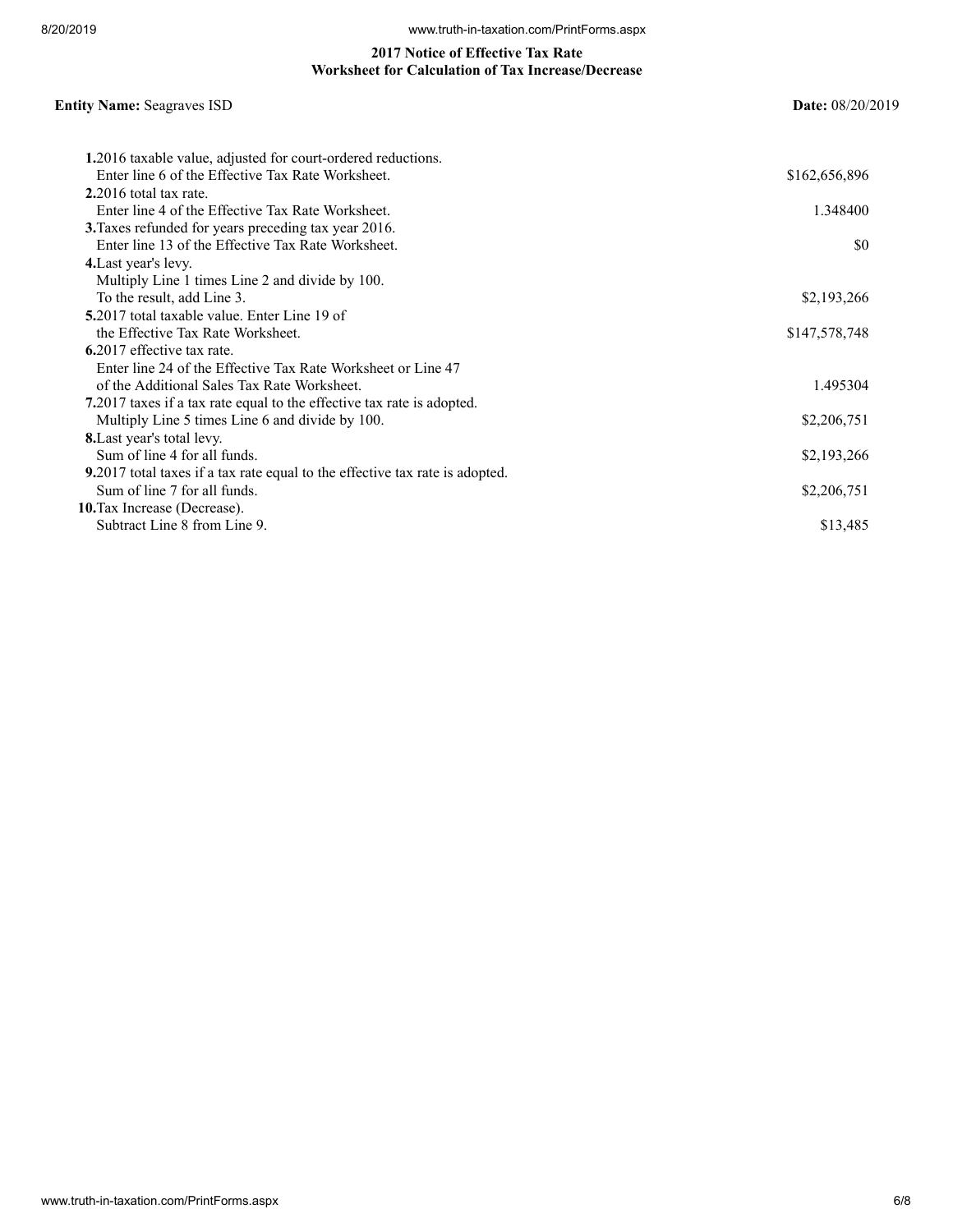#### **2017 Notice of Effective Tax Rate Worksheet for Calculation of Tax Increase/Decrease**

## **Entity Name:** Seagraves ISD **Date:** 08/20/2019

| 1.2016 taxable value, adjusted for court-ordered reductions.                 |               |
|------------------------------------------------------------------------------|---------------|
| Enter line 6 of the Effective Tax Rate Worksheet.                            | \$162,656,896 |
| $2.2016$ total tax rate.                                                     |               |
| Enter line 4 of the Effective Tax Rate Worksheet.                            | 1.348400      |
| 3. Taxes refunded for years preceding tax year 2016.                         |               |
| Enter line 13 of the Effective Tax Rate Worksheet.                           | SO.           |
| 4. Last year's levy.                                                         |               |
| Multiply Line 1 times Line 2 and divide by 100.                              |               |
| To the result, add Line 3.                                                   | \$2,193,266   |
| 5.2017 total taxable value. Enter Line 19 of                                 |               |
| the Effective Tax Rate Worksheet.                                            | \$147,578,748 |
| 6.2017 effective tax rate.                                                   |               |
| Enter line 24 of the Effective Tax Rate Worksheet or Line 47                 |               |
| of the Additional Sales Tax Rate Worksheet.                                  | 1.495304      |
| 7.2017 taxes if a tax rate equal to the effective tax rate is adopted.       |               |
| Multiply Line 5 times Line 6 and divide by 100.                              | \$2,206,751   |
| 8. Last year's total levy.                                                   |               |
| Sum of line 4 for all funds.                                                 | \$2,193,266   |
| 9.2017 total taxes if a tax rate equal to the effective tax rate is adopted. |               |
| Sum of line 7 for all funds.                                                 | \$2,206,751   |
| 10. Tax Increase (Decrease).                                                 |               |
| Subtract Line 8 from Line 9.                                                 | \$13,485      |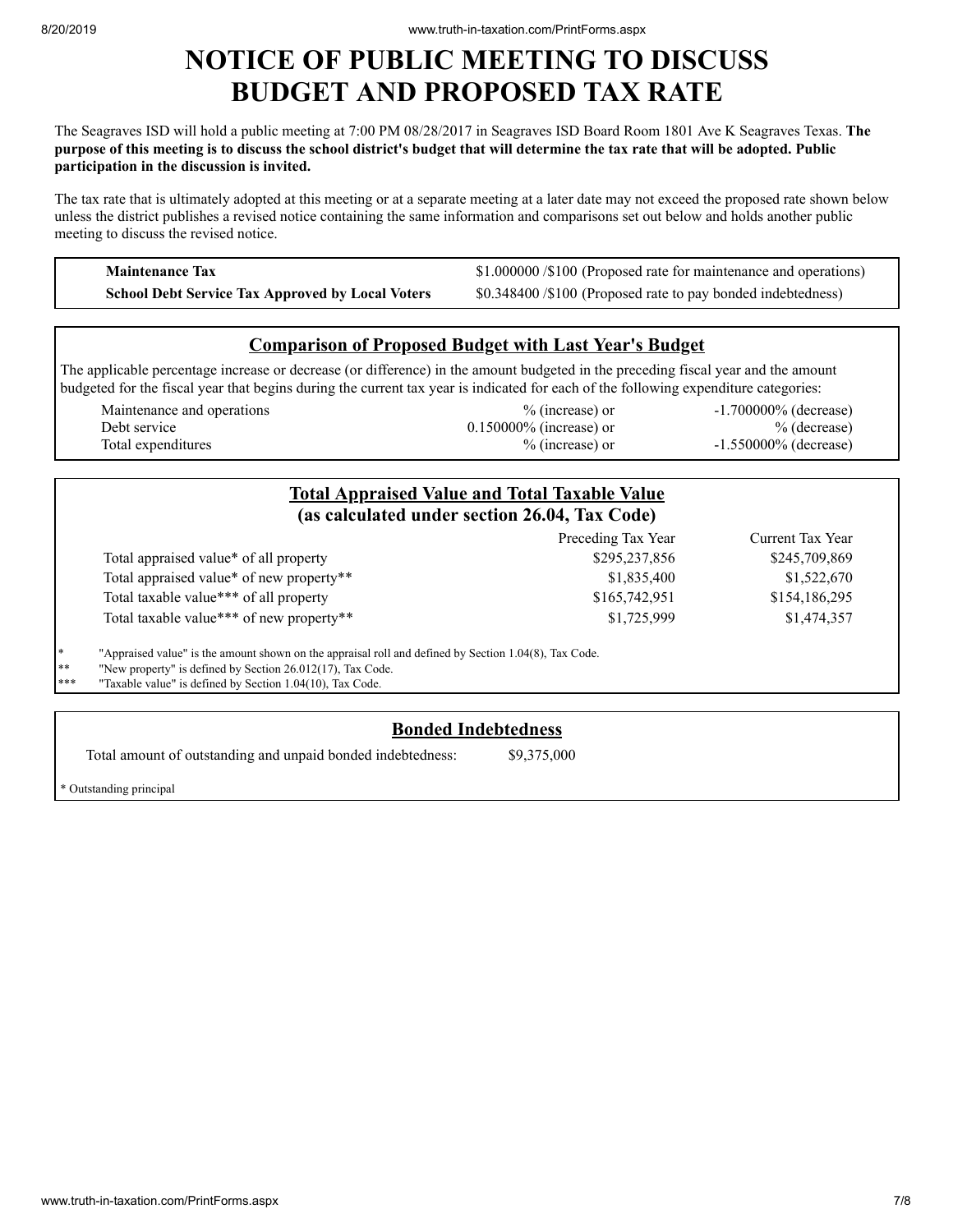## **NOTICE OF PUBLIC MEETING TO DISCUSS BUDGET AND PROPOSED TAX RATE**

The Seagraves ISD will hold a public meeting at 7:00 PM 08/28/2017 in Seagraves ISD Board Room 1801 Ave K Seagraves Texas. **The** purpose of this meeting is to discuss the school district's budget that will determine the tax rate that will be adopted. Public **participation in the discussion is invited.**

The tax rate that is ultimately adopted at this meeting or at a separate meeting at a later date may not exceed the proposed rate shown below unless the district publishes a revised notice containing the same information and comparisons set out below and holds another public meeting to discuss the revised notice.

**Maintenance Tax \$1.000000 /\$100 (Proposed rate for maintenance and operations) School Debt Service Tax Approved by Local Voters** \$0.348400 /\$100 (Proposed rate to pay bonded indebtedness)

## **Comparison of Proposed Budget with Last Year's Budget**

The applicable percentage increase or decrease (or difference) in the amount budgeted in the preceding fiscal year and the amount budgeted for the fiscal year that begins during the current tax year is indicated for each of the following expenditure categories:

| Maintenance and operations | $\%$ (increase) or         | $-1.700000\%$ (decrease) |
|----------------------------|----------------------------|--------------------------|
| Debt service               | $0.150000\%$ (increase) or | $%$ (decrease)           |
| Total expenditures         | $%$ (increase) or          | $-1.550000\%$ (decrease) |

|    |                                                                                                          | <b>Total Appraised Value and Total Taxable Value</b><br>(as calculated under section 26.04, Tax Code) |                  |
|----|----------------------------------------------------------------------------------------------------------|-------------------------------------------------------------------------------------------------------|------------------|
|    |                                                                                                          | Preceding Tax Year                                                                                    | Current Tax Year |
|    | Total appraised value* of all property                                                                   | \$295,237,856                                                                                         | \$245,709,869    |
|    | Total appraised value* of new property**                                                                 | \$1,835,400                                                                                           | \$1,522,670      |
|    | Total taxable value*** of all property                                                                   | \$165,742,951                                                                                         | \$154,186,295    |
|    | Total taxable value*** of new property**                                                                 | \$1,725,999                                                                                           | \$1,474,357      |
| ∗  | "Appraised value" is the amount shown on the appraisal roll and defined by Section $1.04(8)$ , Tax Code. |                                                                                                       |                  |
| ∗∗ | "New property" is defined by Section 26.012(17), Tax Code.                                               |                                                                                                       |                  |

"Taxable value" is defined by Section  $1.04(10)$ , Tax Code.

### **Bonded Indebtedness**

Total amount of outstanding and unpaid bonded indebtedness: \$9,375,000

\* Outstanding principal